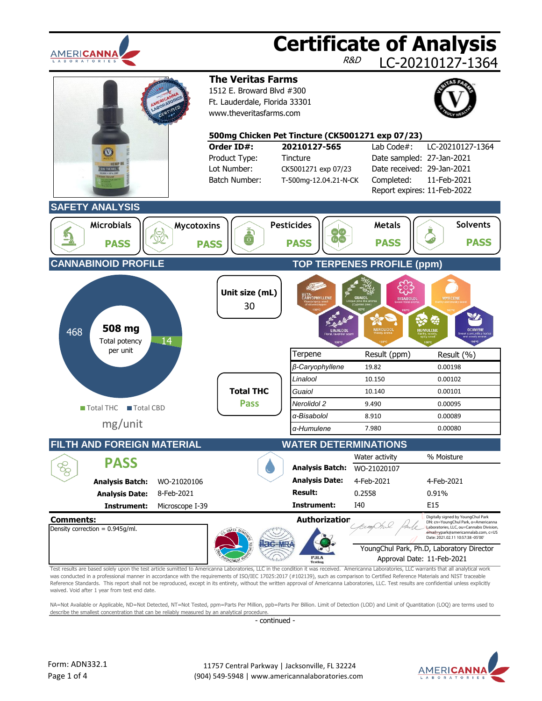

was conducted in a professional manner in accordance with the requirements of ISO/IEC 17025:2017 (#102139), such as comparison to Certified Reference Materials and NIST traceable Reference Standards. This report shall not be reproduced, except in its entirety, without the written approval of Americanna Laboratories, LLC. Test results are confidential unless explicitly waived. Void after 1 year from test end date.

NA=Not Available or Applicable, ND=Not Detected, NT=Not Tested, ppm=Parts Per Million, ppb=Parts Per Billion. Limit of Detection (LOD) and Limit of Quantitation (LOQ) are terms used to describe the smallest concentration that can be reliably measured by an analytical procedure.

- continued -

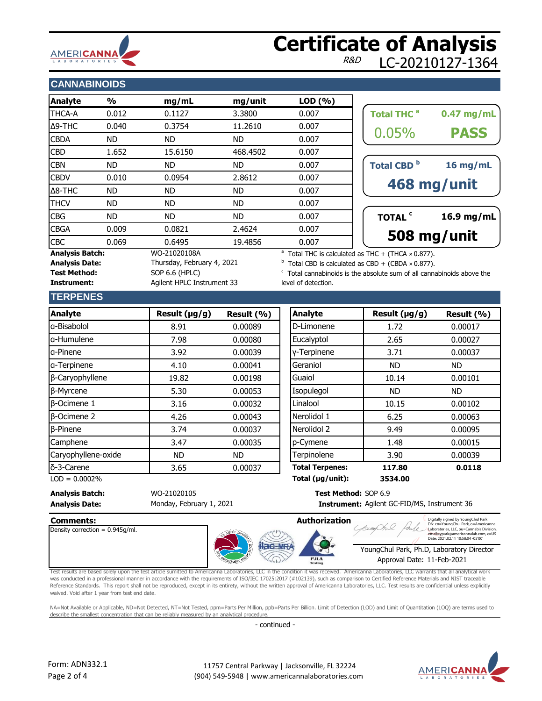# **AMERICANNA**

## **Certificate of Analysis** LC-20210127-1364

#### **CANNABINOIDS**

| <b>Analyte</b>         | $\frac{1}{2}$ | mg/mL                      | mg/unit   | LOD(%) |                                                                      |              |
|------------------------|---------------|----------------------------|-----------|--------|----------------------------------------------------------------------|--------------|
| <b>THCA-A</b>          | 0.012         | 0.1127                     | 3.3800    | 0.007  | Total THC <sup>a</sup>                                               | $0.47$ mg/mL |
| $\Delta$ 9-THC         | 0.040         | 0.3754                     | 11.2610   | 0.007  |                                                                      |              |
| <b>CBDA</b>            | ND.           | ND.                        | ND.       | 0.007  | 0.05%                                                                | <b>PASS</b>  |
| <b>CBD</b>             | 1.652         | 15,6150                    | 468,4502  | 0.007  |                                                                      |              |
| <b>CBN</b>             | ND.           | ND.                        | ND.       | 0.007  | Total CBD <sup>b</sup>                                               | 16 mg/mL     |
| <b>CBDV</b>            | 0.010         | 0.0954                     | 2.8612    | 0.007  |                                                                      |              |
| $\Delta$ 8-THC         | ND.           | ND.                        | ND.       | 0.007  |                                                                      | 468 mg/unit  |
| <b>THCV</b>            | ND.           | ND.                        | <b>ND</b> | 0.007  |                                                                      |              |
| <b>CBG</b>             | ND.           | ND.                        | <b>ND</b> | 0.007  | TOTAL <sup>c</sup>                                                   | 16.9 mg/mL   |
| <b>CBGA</b>            | 0.009         | 0.0821                     | 2.4624    | 0.007  |                                                                      |              |
| <b>CBC</b>             | 0.069         | 0.6495                     | 19.4856   | 0.007  |                                                                      | 508 mg/unit  |
| <b>Analysis Batch:</b> |               | WO-21020108A               |           |        | <sup>a</sup> Total THC is calculated as THC + (THCA $\times$ 0.877). |              |
| <b>Analysis Date:</b>  |               | Thursday, February 4, 2021 |           |        | $b$ Total CBD is calculated as CBD + (CBDA $\times$ 0.877).          |              |

| 508 mg/unit                   |              |  |  |  |  |  |  |
|-------------------------------|--------------|--|--|--|--|--|--|
| <b>TOTAL</b> <sup>c</sup>     | 16.9 mg/mL   |  |  |  |  |  |  |
| 468 mg/unit                   |              |  |  |  |  |  |  |
| <b>Total CBD</b> <sup>b</sup> | 16 mg/mL     |  |  |  |  |  |  |
| 0.05%                         | <b>PASS</b>  |  |  |  |  |  |  |
|                               |              |  |  |  |  |  |  |
| <b>Total THC<sup>a</sup></b>  | $0.47$ mg/mL |  |  |  |  |  |  |

 $\degree$  Total cannabinoids is the absolute sum of all cannabinoids above the level of detection.

#### **TERPENES**

Test Method: SOP 6.6 (HPLC)

**Instrument:** Agilent HPLC Instrument 33

| <b>Analyte</b>      | Result $(\mu g/g)$ | Result (%) | <b>Analyte</b>         | Result (µg/g) |
|---------------------|--------------------|------------|------------------------|---------------|
| g-Bisabolol         | 8.91               | 0.00089    | D-Limonene             | 1.72          |
| la-Humulene         | 7.98               | 0.00080    | Eucalyptol             | 2.65          |
| la-Pinene           | 3.92               | 0.00039    | y-Terpinene            | 3.71          |
| a-Terpinene         | 4.10               | 0.00041    | Geraniol               | <b>ND</b>     |
| β-Caryophyllene     | 19.82              | 0.00198    | Guaiol                 | 10.14         |
| β-Myrcene           | 5.30               | 0.00053    | Isopulegol             | <b>ND</b>     |
| $\beta$ -Ocimene 1  | 3.16               | 0.00032    | Linalool               | 10.15         |
| $\beta$ -Ocimene 2  | 4.26               | 0.00043    | Nerolidol 1            | 6.25          |
| $\beta$ -Pinene     | 3.74               | 0.00037    | Nerolidol 2            | 9.49          |
| Camphene            | 3.47               | 0.00035    | p-Cymene               | 1.48          |
| Caryophyllene-oxide | <b>ND</b>          | ND.        | Terpinolene            | 3.90          |
| δ-3-Carene          | 3.65               | 0.00037    | <b>Total Terpenes:</b> | 117.80        |

| <b>Analyte</b>      | Result (µg/g) | Result (%) | <b>Analyte</b>         | Result $(\mu g/g)$ | Result (%) |
|---------------------|---------------|------------|------------------------|--------------------|------------|
| a-Bisabolol         | 8.91          | 0.00089    | D-Limonene             | 1.72               | 0.00017    |
| a-Humulene          | 7.98          | 0.00080    | Eucalyptol             | 2.65               | 0.00027    |
| a-Pinene            | 3.92          | 0.00039    | y-Terpinene            | 3.71               | 0.00037    |
| a-Terpinene         | 4.10          | 0.00041    | Geraniol               | <b>ND</b>          | <b>ND</b>  |
| β-Caryophyllene     | 19.82         | 0.00198    | Guaiol                 | 10.14              | 0.00101    |
| β-Myrcene           | 5.30          | 0.00053    | Isopulegol             | <b>ND</b>          | ND.        |
| $\beta$ -Ocimene 1  | 3.16          | 0.00032    | Linalool               | 10.15              | 0.00102    |
| <b>B-Ocimene 2</b>  | 4.26          | 0.00043    | Nerolidol 1            | 6.25               | 0.00063    |
| β-Pinene            | 3.74          | 0.00037    | Nerolidol 2            | 9.49               | 0.00095    |
| Camphene            | 3.47          | 0.00035    | p-Cymene               | 1.48               | 0.00015    |
| Caryophyllene-oxide | ND.           | ND.        | Terpinolene            | 3.90               | 0.00039    |
| δ-3-Carene          | 3.65          | 0.00037    | <b>Total Terpenes:</b> | 117.80             | 0.0118     |
| $LOD = 0.0002%$     |               |            | Total (µg/unit):       | 3534.00            |            |

**Analysis Date: Instrument:** Monday, February 1, 2021

**Analysis Batch:** WO-21020105 **Test Method:** SOP 6.9 Instrument: Agilent GC-FID/MS, Instrument 36





DN: cn=YoungChul Park, o=Americanna Laboratories, LLC, ou=Cannabis Division, pu=Cannabis Division,<br>ricannalab.com, c=US Date: 2021.02.11 10:58:04 -05'00'

YoungChul Park, Ph.D, Laboratory Director Approval Date: 11-Feb-2021

Test results are based solely upon the test article sumitted to Americanna Laboratories, LLC in the condition it was received. Americanna Laboratories, LLC warrants that all analytical work was conducted in a professional manner in accordance with the requirements of ISO/IEC 17025:2017 (#102139), such as comparison to Certified Reference Materials and NIST traceable Reference Standards. This report shall not be reproduced, except in its entirety, without the written approval of Americanna Laboratories, LLC. Test results are confidential unless explicitly waived. Void after 1 year from test end date. Authorization<br>
Margolar Stressburgh Stressburgh Park and the composition of the construction of the construction of the constant of the constant of the constant of the constant of the constant of the constant of the consta

NA=Not Available or Applicable, ND=Not Detected, NT=Not Tested, ppm=Parts Per Million, ppb=Parts Per Billion. Limit of Detection (LOD) and Limit of Quantitation (LOQ) are terms used to describe the smallest concentration that can be reliably measured by an analytical procedure

- continued -

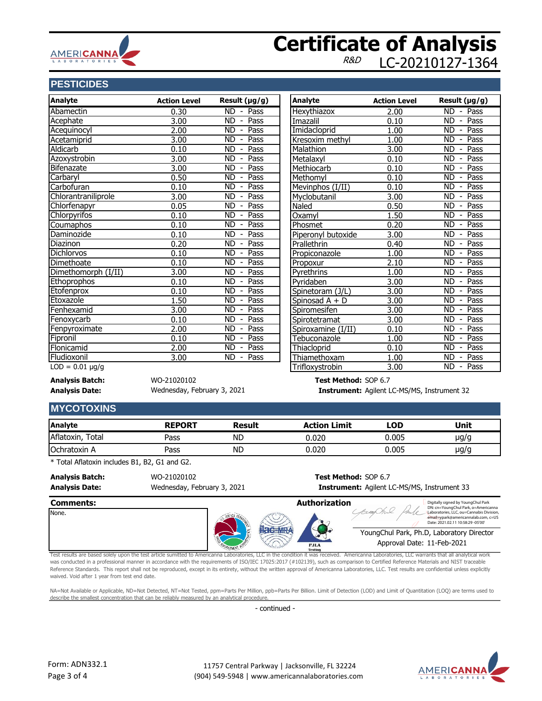

## **Certificate of Analysis** LC-20210127-1364

### **PESTICIDES**

| <b>Analyte</b>       | <b>Action Level</b> | Result $(\mu g/g)$                                | Analyte            | <b>Action Level</b> | Result $(\mu g/g)$                            |
|----------------------|---------------------|---------------------------------------------------|--------------------|---------------------|-----------------------------------------------|
| Abamectin            | 0.30                | ND.<br>Pass<br>$\sim$                             | Hexythiazox        | 2.00                | <b>ND</b><br>Pass<br>$\blacksquare$           |
| Acephate             | 3.00                | <b>ND</b><br>Pass<br>$\overline{\phantom{a}}$     | Imazalil           | 0.10                | <b>ND</b><br>Pass<br>$\overline{\phantom{a}}$ |
| Acequinocyl          | 2.00                | Pass<br><b>ND</b>                                 | Imidacloprid       | 1.00                | Pass<br><b>ND</b>                             |
| Acetamiprid          | 3.00                | <b>ND</b><br>Pass                                 | Kresoxim methyl    | 1.00                | <b>ND</b><br>Pass<br>$\overline{\phantom{a}}$ |
| Aldicarb             | 0.10                | Pass<br><b>ND</b>                                 | Malathion          | 3.00                | Pass<br><b>ND</b>                             |
| Azoxystrobin         | 3.00                | <b>ND</b><br>Pass                                 | Metalaxyl          | 0.10                | <b>ND</b><br>Pass                             |
| Bifenazate           | 3.00                | Pass<br><b>ND</b>                                 | Methiocarb         | 0.10                | Pass<br><b>ND</b>                             |
| Carbaryl             | 0.50                | <b>ND</b><br>Pass                                 | Methomyl           | 0.10                | <b>ND</b><br>Pass<br>$\overline{\phantom{a}}$ |
| Carbofuran           | 0.10                | <b>ND</b><br>Pass<br>$\overline{\phantom{a}}$     | Mevinphos (I/II)   | 0.10                | Pass<br><b>ND</b>                             |
| Chlorantraniliprole  | 3.00                | <b>ND</b><br>Pass                                 | Myclobutanil       | 3.00                | <b>ND</b><br>Pass                             |
| Chlorfenapyr         | 0.05                | Pass<br><b>ND</b>                                 | Naled              | 0.50                | Pass<br><b>ND</b>                             |
| Chlorpyrifos         | 0.10                | <b>ND</b><br>Pass<br>$\overline{\phantom{a}}$     | Oxamyl             | 1.50                | Pass<br><b>ND</b><br>$\overline{\phantom{a}}$ |
| Coumaphos            | 0.10                | Pass<br><b>ND</b><br>$\qquad \qquad \blacksquare$ | Phosmet            | 0.20                | Pass<br><b>ND</b>                             |
| Daminozide           | 0.10                | <b>ND</b><br>Pass<br>$\overline{\phantom{a}}$     | Piperonyl butoxide | 3.00                | Pass<br><b>ND</b><br>$\overline{\phantom{a}}$ |
| Diazinon             | 0.20                | <b>ND</b><br>Pass                                 | Prallethrin        | 0.40                | Pass<br><b>ND</b>                             |
| <b>Dichlorvos</b>    | 0.10                | <b>ND</b><br>Pass<br>$\overline{\phantom{a}}$     | Propiconazole      | 1.00                | <b>ND</b><br>Pass<br>$\overline{\phantom{a}}$ |
| Dimethoate           | 0.10                | Pass<br><b>ND</b><br>$\overline{\phantom{a}}$     | Propoxur           | 2.10                | Pass<br><b>ND</b><br>$\overline{\phantom{a}}$ |
| Dimethomorph (I/II)  | 3.00                | <b>ND</b><br>Pass<br>$\overline{\phantom{a}}$     | Pyrethrins         | 1.00                | <b>ND</b><br>Pass<br>$\overline{\phantom{a}}$ |
| Ethoprophos          | 0.10                | Pass<br><b>ND</b>                                 | Pyridaben          | 3.00                | Pass<br><b>ND</b><br>$\overline{\phantom{a}}$ |
| Etofenprox           | 0.10                | <b>ND</b><br>Pass<br>$\overline{\phantom{0}}$     | Spinetoram (J/L)   | 3.00                | Pass<br><b>ND</b><br>$\overline{\phantom{a}}$ |
| Etoxazole            | 1.50                | <b>ND</b><br>Pass                                 | Spinosad A + D     | 3.00                | Pass<br><b>ND</b><br>$\overline{\phantom{a}}$ |
| Fenhexamid           | 3.00                | <b>ND</b><br>Pass<br>$\overline{\phantom{a}}$     | Spiromesifen       | 3.00                | <b>ND</b><br>Pass<br>$\overline{\phantom{a}}$ |
| Fenoxycarb           | 0.10                | <b>ND</b><br>Pass                                 | Spirotetramat      | 3.00                | Pass<br><b>ND</b>                             |
| Fenpyroximate        | 2.00                | <b>ND</b><br>Pass                                 | Spiroxamine (I/II) | 0.10                | Pass<br><b>ND</b><br>$\overline{\phantom{a}}$ |
| Fipronil             | 0.10                | Pass<br><b>ND</b>                                 | Tebuconazole       | 1.00                | Pass<br><b>ND</b><br>$\overline{\phantom{a}}$ |
| Flonicamid           | 2.00                | <b>ND</b><br>Pass<br>$\overline{\phantom{a}}$     | Thiacloprid        | 0.10                | Pass<br><b>ND</b><br>$\overline{\phantom{a}}$ |
| Fludioxonil          | 3.00                | <b>ND</b><br>Pass<br>$\overline{\phantom{a}}$     | Thiamethoxam       | 1.00                | Pass<br><b>ND</b><br>$\overline{\phantom{a}}$ |
| $LOD = 0.01 \mu g/g$ |                     |                                                   | Trifloxystrobin    | 3.00                | ND.<br>- Pass                                 |

**Analysis Batch:** WO-21020102 **Test Method:** SOP 6.7 Wednesday, February 3, 2021

**Analysis Date: Instrument:** Agilent LC-MS/MS, Instrument 32

#### **MYCOTOXINS**

| Analyte             | <b>REPORT</b> | <b>Result</b> | <b>Action Limit</b> | LOD   | Unit      |
|---------------------|---------------|---------------|---------------------|-------|-----------|
| Aflatoxin,<br>Total | Pass          | <b>ND</b>     | ).020               | 0.005 | $\mu$ g/g |
| Ochratoxin A        | Pass          | <b>ND</b>     | ).020               | 0.005 | $\mu$ g/g |

\* Total Aflatoxin includes B1, B2, G1 and G2.

**Analysis Batch:** WO-21020102 **Test Method:** SOP 6.7

Wednesday, February 3, 2021

**Analysis Date: Instrument:** Agilent LC-MS/MS, Instrument 33

## **Comments: Authorization** None. YoungChul Park, Ph.D, Laboratory Director Approval Date: 11-Feb-2021 Authorization<br>
Complete Distance of Boundaries (Content and Content and Content and Content and Content and Content and Content<br>
The condition of the condition it was received. Americanna Laboratories, LLC warrants that al DN: cn=YoungChul Park, o=Americanna Laboratories, LLC, ou=Cannabis Division, email=ypark@americannalab.com, c=US Date: 2021.02.11 10:58:29 -05'00'

Test results are based solely upon the test article sumitted to Americanna Laboratories, LLC in the condition it was received. Americanna Laboratories, LLC warrants that all analytical work was conducted in a professional manner in accordance with the requirements of ISO/IEC 17025:2017 (#102139), such as comparison to Certified Reference Materials and NIST traceable Reference Standards. This report shall not be reproduced, except in its entirety, without the written approval of Americanna Laboratories, LLC. Test results are confidential unless explicitly waived. Void after 1 year from test end date.

NA=Not Available or Applicable, ND=Not Detected, NT=Not Tested, ppm=Parts Per Million, ppb=Parts Per Billion. Limit of Detection (LOD) and Limit of Quantitation (LOQ) are terms used to describe the smallest concentration that can be reliably measured by an analytical procedure

- continued -